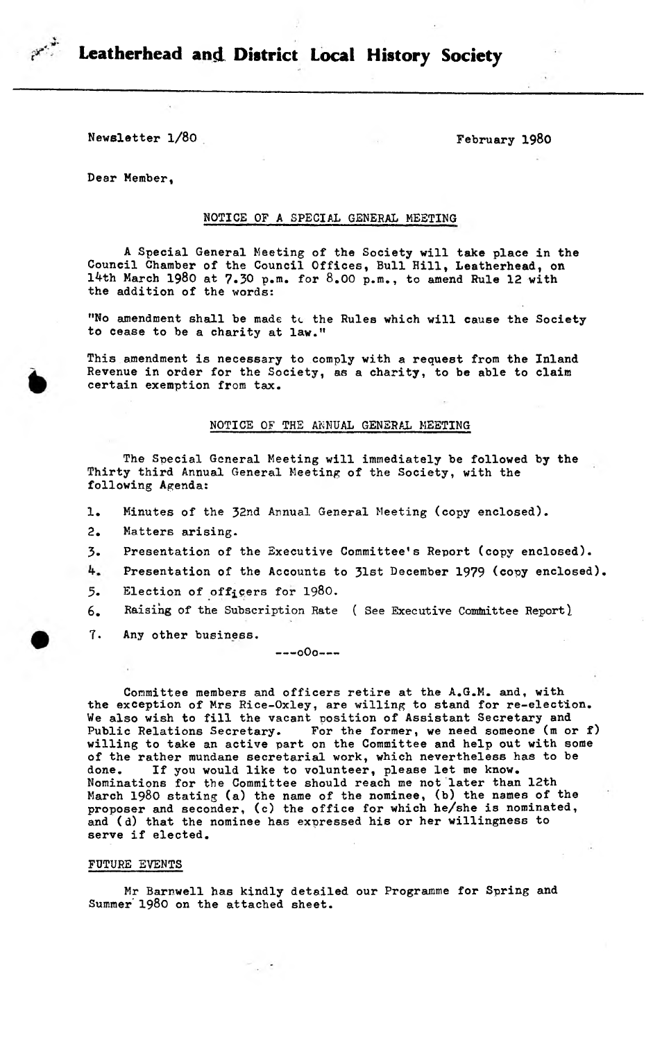

Leatherhead and District Local History Society

Newsletter  $1/80$  February 1980

Dear Member,

### NOTICE OF A SPECIAL GENERAL MEETING

A Special General Meeting of the Society will take place in the Council Chamber of the Council Offices, Bull Hill, Leatherhead, on 14th March 1980 at 7.30 p.m. for 8.00 p.m., to amend Rule 12 with the addition of the words:

"No amendment shall be made tc the Rules which will cause the Society to cease to be a charity at law."

This amendment is necessary to comply with a request from the Inland Revenue in order for the Society, as a charity, to be able to claim certain exemption from tax.

#### NOTICE OF THS ANNUAL GENERAL MEETING

The Special General Meeting will immediately be followed by the Thirty third Annual General Meeting of the Society, with the following Agenda:

- 1. Minutes of the 32nd Annual General Meeting (copy enclosed).
- 2. Matters arising.
- 3. Presentation of the Executive Committee's Report (copy enclosed).
- 4. Presentation of the Accounts to 31st December 1979 (copy enclosed).
- 5. Election of officers for 1980.
- 6. Raising of the Subscription Rate ( See Executive Committee Report)
- 7. Any other business.

 $---000---$ 

Committee members and officers retire at the A.G.M. and, with the exception of Mrs Rice-Oxley, are willing to stand for re-election. We also wish to fill the vacant position of Assistant Secretary and Public Relations Secretary. For the former, we need someone (m or f) willing to take an active part on the Committee and help out with some of the rather mundane secretarial work, which nevertheless has to be done. If you would like to volunteer, please let me know. Nominations for the Committee should reach me not later than 12th March 1980 stating (a) the name of the nominee, (b) the names of the proposer and seconder, (c) the office for which he/she is nominated, and (d) that the nominee has expressed his or her willingness to serve if elected.

#### FUTURE EVENTS

Mr Barnwell has kindly detailed our Programme for Spring and Summer' 1980 on the attached sheet.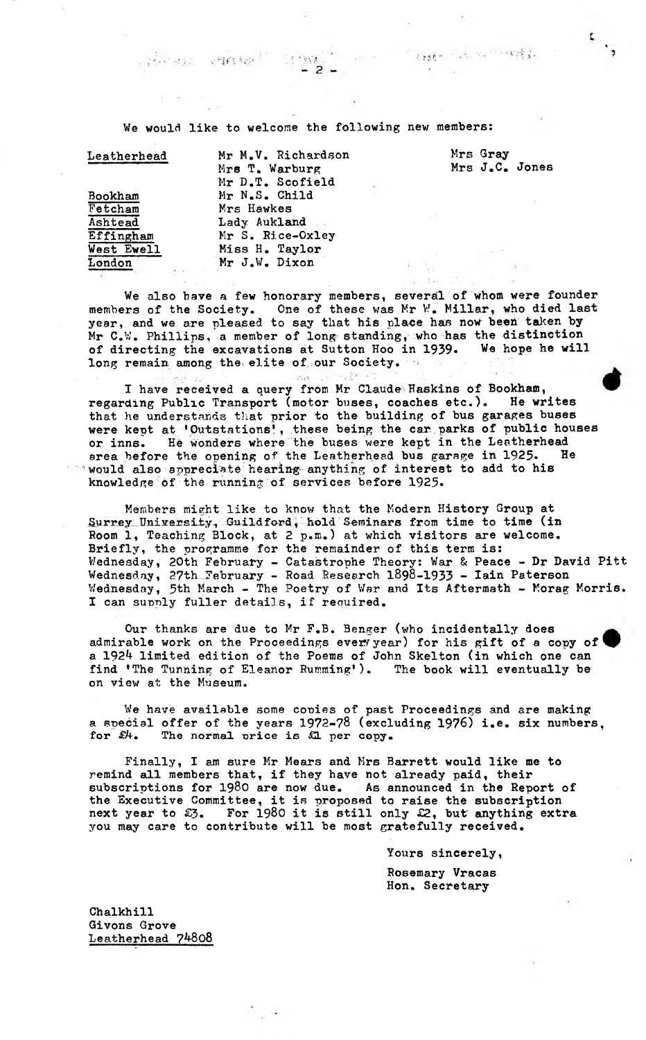TOOL TO A THE TOWER TO

We would like to welcome the following new members:

 $\mathbb{R}^n\mathbf{W}^{(n)}_{\mathbf{A}}$  , and

 $-2-$ 

| ${\tt Leatherhead}$ |  |
|---------------------|--|
| Bookham<br>Fetcham  |  |
| Ashtead             |  |
| Effingham           |  |
| West Ewell          |  |
|                     |  |

Mr M.V. Richardson Mrs Gray<br>
Mrs T. Warburg Mrs J.C. Jones Mrs T. Warburg Mr D.T. Scofield Mr N.S. Child Mrs Hawkes Lady Aukland Mr S. Rice-Oxley Miss H. Taylor London Mr J.W. Dixon

 $\mathcal{O}(\mathbf{F}^{\mathrm{c}}_k \log \epsilon^{1/2})$ 

We also have a few honorary members, several of whom were founder members of the Society. One of these was Mr W. Millar, who died last year, and we are pleased to say that his place has now been taken by Mr C.W. Phillips, a member of long standing, who has the distinction<br>of directing the excavations at Sutton Hoo in 1939. We hope he will of directing the excavations at Sutton Hoo in 1939. long remain among the elite of our Society.

I have received a query from Mr Claude Haskins of Bookham, regarding Public Transport (motor buses, coaches etc.). He writes that he understands that prior to the building of bus garages buses were kept at 'Outstations', these being the car, parks of public houses or inns. He wonders where the buses were kept in the Leatherhead area before the opening of the Leatherhead bus garage in 1925. He would also appreciate hearing anything of interest to add to his knowledge of the running of services before 1925.

Members might like to know that the Modern History Group at Surrey University, Guildford, hold Seminars from time to time (in Room 1, Teaching Block, at 2 p.m.) at which visitors are welcome. Briefly, the programme for the remainder of this term is: Wednesday, 20th February - Catastrophe Theory: War & Peace - Dr David Pitt Wednesday, 27th February - Road Research 1898-1933 - Iain Paterson Wednesday, 5th March - The Poetry of War and Its Aftermath - Korag Morris. I can supply fuller details, if required.

Our thanks are due to Mr F.B. Benger (who incidentally does admirable work on the Proceedings every year) for his gift of a copy of a 1924 limited edition of the Poems of John Skelton (in which one can find 'The Tunning of Eleanor Rumming\*). The book will eventually be on view at the Museum.

We have available some conies of past Proceedings and are making a special offer of the years 1972-78 (excluding 1976) i.e. six numbers, for  $\hat{x}$ . The normal price is  $\hat{x}$  per copy. The normal price is £1 per copy.

Finally, I am sure Mr Mears and Mrs Barrett would like me to remind all members that, if they have not already paid, their subscriptions for 1980 are now due. As announced in the Report of the Executive Committee, it is proposed to raise the subscription next year to  $$3.$  For 1980 it is still only  $$2,$  but anything extra you may care to contribute will be most gratefully received.

Yours sincerely,

Rosemary Vracas Hon. Secretary

Chalkhill Givons Grove Leatherhead 74808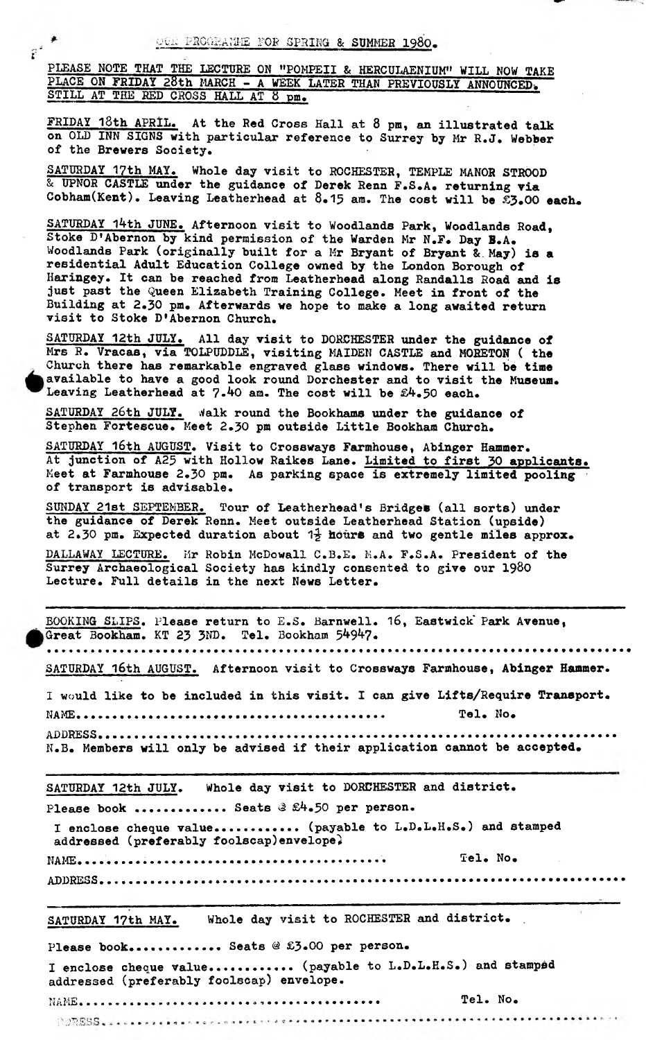$e^{i\frac{\pi}{2}}$ 

PLEASE NOTE THAT THE LECTURE ON "POMPEII & HERCULAENIUM" WILL NOW TAND AND THE USE OF THE LECTURE ON "POMPEII & HERCULAENIUM" WILL NOW TAND **PLACE ON FRIDAY 28th MARCH - A WEEK LATER THAN PREVIOUSLY ANNOUNCED,. HERCULAENIUM" WILL NOW TAKE** STILL AT THE RED CROSS HALL AT 8 pm.

FRIDAY 18th APRIL. At the Red Cross Hall at 8 pm, an illustrated talk on OLD INN SIGNS with particular reference to Surrey by Mr R.J. Webber of the Brewers Society.

SATURDAY 1?th MAY. Whole day visit to ROCHESTER, TEMPLE MANOR STROOD & UPNOR CASTLE under the guidance of Derek Renn F.S.A. returning via Cobham(Kent). Leaving Leatherhead at 8.15 am. The cost will be £3.00 each.

SATURDAY 14th JUNE. Afternoon visit to Woodlands Park, Woodlands Road, Stoke D1Abernon by kind permission of the Warden Mr N.F. Day B.A. Woodlands Park (originally built for a Mr Bryant of Bryant &. **May) is a** residential Adult Education College owned by the London Borough of Haringey. It can be reached from Leatherhead along Randalls Road and **is** just past the Queen Elizabeth Training College. Meet in front of the Building at 2.30 pm. Afterwards we hope to make a long awaited return visit to Stoke D\*Abernon Church.

SATURDAY 12th JULY. All day visit to DORCHESTER under the guidance of Mrs R. Vracas, via TOLPUDDLE, visiting MAIDEN CASTLE and MOBETON ( **the** Church there has remarkable engraved glass windows. There will **be time** available to have a good look round Dorchester and to visit the Museum. Leaving Leatherhead at 7.40 am. The cost will be £4.50 each.

SATURDAY 26th JULY. Walk round the Bookhams under the guidance of Stephen Fortescue. Meet 2.30 pm outside Little Bookham Church.

SATURDAY 16th AUGUST. Visit to Crossways Farmhouse, Abinger Hammer. **At** junction of A25 with Hollow Raikes Lane. Limited **to** first 30 **applicants.** Meet at Farmhouse 2.30 pm. As parking space is extremely limited **pooling** of transport is advisable.

SUNDAY 21st SEPTEMBER. Tour of Leatherhead1s Bridges (all sorts) under the guidance of Derek Renn. Meet outside Leatherhead Station (upside) at 2.30 pm. Expected duration about  $1\frac{1}{2}$  hours and two gentle miles approx.

DALLAWAY LECTURE. Mr Robin McDowall C.B.E. M.A. F.S.A. President of the Surrey Archaeological Society has kindly consented to give our 1980 Lecture. Full details in the next News Letter.

BOOKING SLIPS. Please return to E.S. Barnwell. 16, Eastwick' Park Avenue, Great Bookham. KT 23 3ND. Tel. Bookham 54947. SATURDAY 16th AUGUST. Afternoon visit to Crossways Farmhouse, Abinger Hammer. I would like to be included in this visit. I can give Lifts/Require Transport. NAME...................................... Tel. No. **ADDRESS...................................................... ................... .** N.B. Members will only be advised if their application cannot be accepted. SATURDAY 12th JULY. Whole day visit to DORCHESTER and district. Please book ........... Seats *3* £4.50 per person. I enclose cheque value............ (payable to L.D.L.H.S.) and stamped addressed (preferably foolscap)envelope} NAME. .............. ...................... . Tel. No. ADDRESS................................ .............................. SATURDAY 17th MAY. Whole day visit to ROCHESTER and district. Please book............. Seats @ £3.00 per person. I enclose cheque value............ (payable to L.D.L.H.S.) and stamped addressed (preferably foolscap) envelope. NifSE...... ..............»,.............. Tel. No.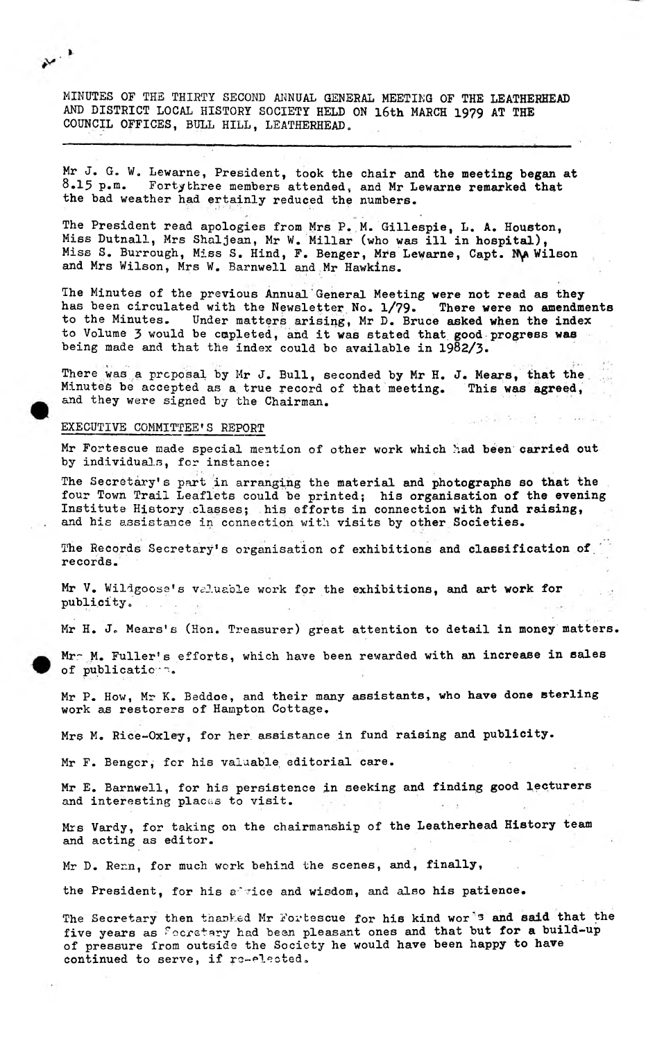MINUTES OF THE THIRTY SECOND ANNUAL GENERAL MEETING OF THE LEATHERHEAD AND DISTRICT LOCAL HISTORY SOCIETY HELD ON 16th MARCH 1979 AT THE COUNCIL OFFICES, BULL HILL, LEATHERHEAD.

Mr J. G. W. Lewarne, President, took the chair and the meeting began at  $8.15$  p.m. Fortythree members attended, and Mr Lewarne remarked that Fortythree members attended, and Mr Lewarne remarked that the bad weather had ertainly reduced the numbers.

The President read apologies from Mrs P. M. Gillespie, L. A. Houeton, Miss Dutnall, Mrs Shaljean, Mr W. Millar (who was ill in hospital), Miss S. Burrough, Miss S. Hind, F. Benger, Mrs Lewarne, Capt. MA Wilson and Mrs Wilson, Mrs W. Barnwell and Mr Hawkins.

The Minutes of the previous Annual General Meeting were not read **as** they has been circulated with the Newsletter No. 1/79. There were no amendments to the Minutes. Under matters arising, Mr D. Bruce asked when the index to Volume 3 would be cupleted, and it was stated that good progress was being made and that the index could bo available in 19§2/3.

There was a proposal by Mr J. Bull, seconded by **Mr** H. J. **Mears, that the**  $\sim 5$ Minutes be accepted as a. true record of that meeting. This **was agreed,** and they were signed by the Chairman.

#### EXECUTIVE COMMITTEE'S REPORT

 $\ddotsc$ 

Mr Fortescue made special mention of other work which had been carried out by individuals, for instance:

The Secretary's part in arranging the material and photographs so that the four Town Trail Leaflets could be printed; his organisation of the evening Institute History classes; his efforts in connection with fund raising, and his assistance in connection with visits by other Societies.

The Records Secretary's organisation of exhibitions and classification of records.

Mr V. Wildgoose's valuable work for the exhibitions, and art work for publicity.

Mr H. J. Mears's (Hon. Treasurer) great attention to detail in money matters.

Mr<sup>2</sup> M. Fuller's efforts, which have been rewarded with an increase in sales of publication.

Mr P. How, Mr K. Beddoe, and their many assistants, who have done sterling work as restorers of Hampton Cottage.

Mrs M. Rice-Oxley, for her assistance in fund raising and publicity.

Mr F. Benger, for his valuable, editorial care.

Mr E. Barnwell, for his persistence in seeking and finding good lecturers and interesting places to visit.

Mrs Vardy, for taking on the chairmanship of the Leatherhead History team and acting as editor.

Mr D. Renn, for much work behind the scenes, and, finally,

the President, for his a'vice and wisdom, and also his patience.

The Secretary then thanked Mr Fortescue for his kind wor<sup>te</sup> and said that the five years as fecretary had been pleasant ones and that but for a build-up of pressure from outside the Society he would have been happy to have continued to serve, if re-elected.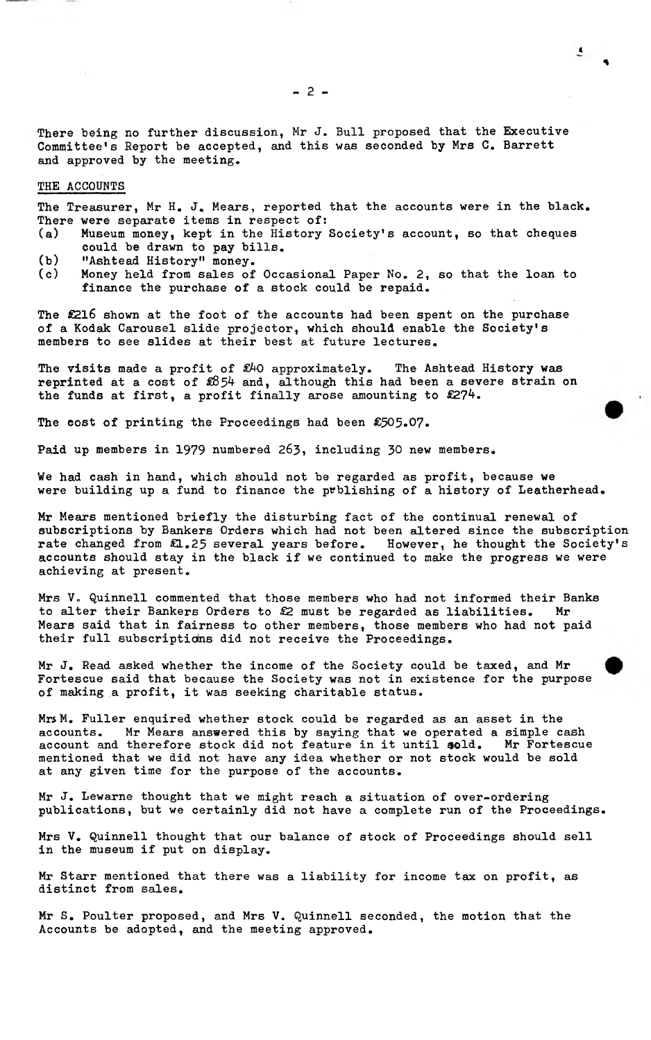There being no further discussion, Mr J. Bull proposed that the Executive Committee's Report be accepted, and this was seconded by Mrs C. Barrett and approved by the meeting.

#### **THE ACCOUNTS**

The Treasurer, Mr H. J. Mears, reported that the accounts were in the black. There were separate items in respect of:

- (a) Museum money, kept in the History Society's account, so that cheques could be drawn to pay bills.
- (b) "Ashtead History" money.
- (c) Money held from sales of Occasional Paper No. 2, so that the loan to finance the purchase of a stock could be repaid.

The £216 shown at the foot of the accounts had been spent on the purchase of a Kodak Carousel slide projector, which should enable the Society's members to see slides at their best at future lectures.

The visits made a profit of *ShO* approximately. The Ashtead History was reprinted at a cost of  $$854$  and, although this had been a severe strain on the funds at first, a profit finally arose amounting to £274.

The cost of printing the Proceedings had been £505.07.

Paid up members in 1979 numbered 263, including 30 new members.

We had cash in hand, which should not be regarded as profit, because we were building up a fund to finance the prblishing of a history of Leatherhead.

Mr Mears mentioned briefly the disturbing fact of the continual renewal of subscriptions by Bankers Orders which had not been altered since the subscription rate changed from £1.25 several years before. However, he thought the Society's accounts should stay in the black if we continued to make the progress we were achieving at present.

Mrs V. Quinnell commented that those members who had not informed their Banks to alter their Bankers Orders to *§2* must be regarded as liabilities. Mr Mears said that in fairness to other members, those members who had not paid their full subscriptions did not receive the Proceedings.

Mr J, Read asked whether the income of the Society could be taxed, and Mr Fortescue said that because the Society was not in existence for the purpose of making a profit, it was seeking charitable status.

Mrs M. Fuller enquired whether stock could be regarded as an asset in the accounts. Mr Mears answered this by saying that we operated a simple cash account and therefore stock did not feature in it until sold. Mr Fortescue mentioned that we did not have any idea whether or not stock would be sold at any given time for the purpose of the accounts.

Mr J. Lewarne thought that we might reach a situation of over-ordering publications, but we certainly did not have a complete run of the Proceedings.

Mrs V. Quinnell thought that our balance of stock of Proceedings should sell in the museum if put on display.

Mr Starr mentioned that there was a liability for income tax on profit, as distinct from sales.

**Mr** S. **Poulter proposed, and Mrs** V. **Quinnell seconded, the motion that the Accounts be adopted, and the meeting approved.**

«

*%*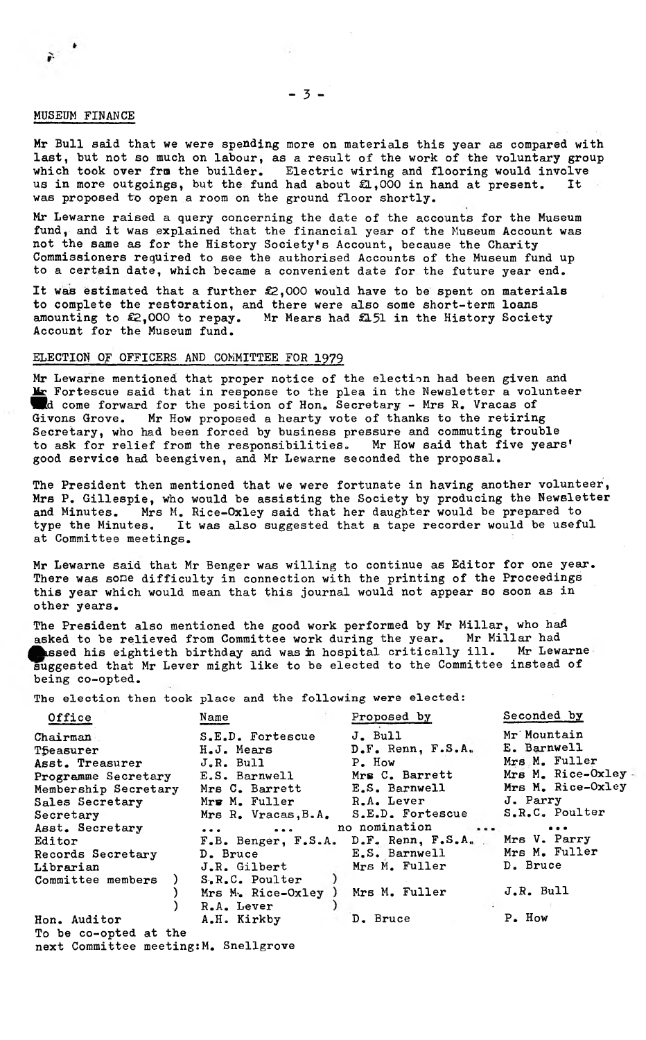#### MUSEUM FINANCE

 $\mathbf{r}$ 

Mr Bull said that we were spending more on materials this year as compared with last, but not so much on labour, as a result of the work of the voluntary group which took over fru the builder. Electric wiring and flooring would involve Electric wiring and flooring would involve<br>d had about £1.000 in hand at present. It us in more outgoings, but the fund had about  $E1,000$  in hand at present. *was* proposed to open a room on the ground floor shortly.

Mr Lewarne raised a query concerning the date of the accounts for the Museum fund, and it was explained that the financial year of the Museum Account was not the same as for the History Society's Account, because the Charity Commissioners required to see the authorised Accounts of the Museum fund up to a certain date, which became a convenient date for the future year end.

It was estimated that a further £2,000 would have to be spent on materials to complete the restoration, and there were also some short-term loans amounting to £2,000 to repay. Mr Mears had £131 in the History Society Account for the Museum fund.

# ELECTION Of OFFICERS AND COMMITTEE FOR 1979

Mr Lewarne mentioned that proper notice of the election had been given and **Mr** Fortescue said that in response to the plea in the Newsletter a volunteer d come forward for the position of Hon. Secretary - Mrs R. Vracas of Givons Grove. Mr How proposed a hearty vote of thanks to the retiring Mr How proposed a hearty vote of thanks to the retiring Secretary, who had been forced by business pressure and commuting trouble to ask for relief from the responsibilities. Mr How said that five years' good service had beengiven, and Mr Lewarne seconded the proposal.

The President then mentioned that we were fortunate in having another volunteer, Mrs P. Gillespie, who would be assisting the Society by producing the Newsletter and Minutes. Mrs M. Rice-Oxley said that her daughter would be prepared to type the Minutes. It was also suggested that a tape recorder would be useful at Committee meetings.

Mr Lewarne said that Mr Benger was willing to continue as Editor for one year. There was sone difficulty in connection with the printing of the Proceedings this year which would mean that this journal would not appear so soon as in other years.

The President also mentioned the good work performed by Mr Millar, who had asked to be relieved from Committee work during the year. Mr Millar had assed his eightieth birthday and was in hospital critically ill. Mr Lewarne suggested that Mr Lever might like to be elected to the Committee instead of being co-opted.

**The election then took place and the following were elected:**

| Office                                | Name                    | Proposed by             | Seconded by        |
|---------------------------------------|-------------------------|-------------------------|--------------------|
| Chairman                              | S.E.D. Fortescue        | J. Bull                 | Mr Mountain        |
| <b>Theasurer</b>                      | H.J. Mears              | D.F. Renn, F.S.A.       | E. Barnwell        |
| Asst. Treasurer                       | J.R. Bull               | P. How                  | Mrs M. Fuller      |
| Programme Secretary                   | E.S. Barnwell           | Mrs C. Barrett          | Mrs M. Rice-Oxley- |
| Membership Secretary                  | Mrs C. Barrett          | E.S. Barnwell           | Mrs M. Rice-Oxley  |
| Sales Secretary                       | Mrg M. Fuller           | R.A. Lever              | J. Parry           |
| Secretary                             | Mrs R. Vracas, B.A.     | S.E.D. Fortescue        | S.R.C. Poulter     |
| Asst. Secretary                       | $\bullet\bullet\bullet$ | no nomination           |                    |
| Editor                                | F.B. Benger, F.S.A.     | $D•F•$ Renn, $F•S•A•$ . | Mrs V. Parry       |
| Records Secretary                     | D. Bruce                | E.S. Barnwell           | Mrs M. Fuller      |
| Librarian                             | J.R. Gilbert            | Mrs M. Fuller           | D. Bruce           |
| Committee members                     | S.R.C. Poulter          |                         |                    |
|                                       | Mrs M. Rice-Oxley       | Mrs M. Fuller           | J.R. Bull          |
|                                       | R.A. Lever              |                         |                    |
| Hon. Auditor                          | A.H. Kirkby             | D. Bruce                | P. How             |
| To be co-opted at the                 |                         |                         |                    |
| next Committee meeting: M. Snellgrove |                         |                         |                    |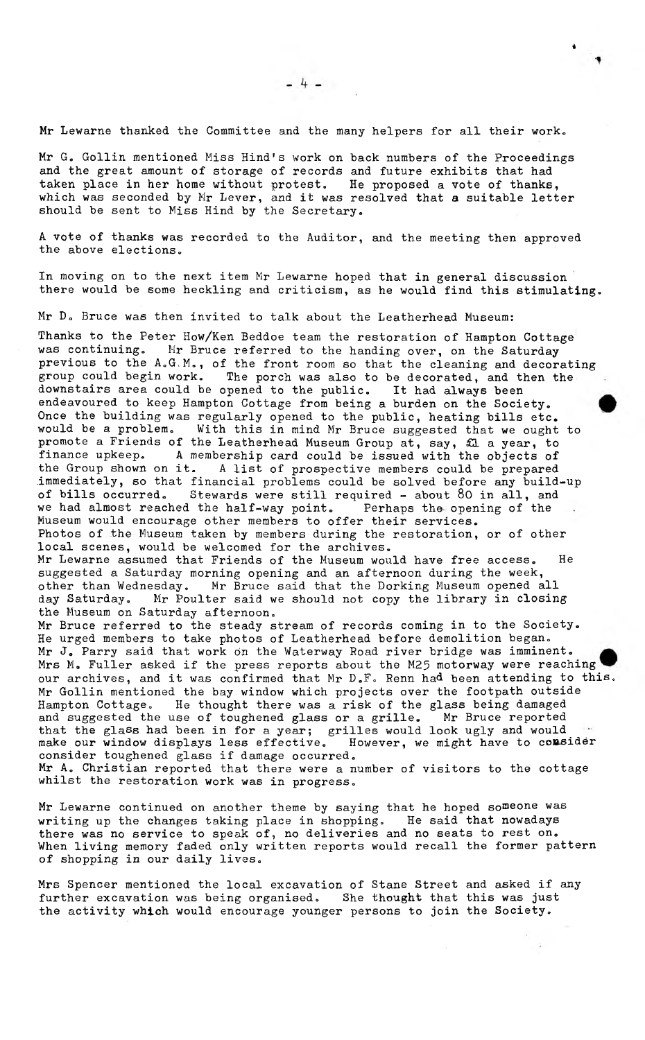i

**Mr Lewarne thanked the Committee and the many helpers for all their work,**

**Mr G. Gollin mentioned Miss Hind's work on back numbers of the Proceedings and the great amount of storage of records and future exhibits that had** taken place in her home without protest. He proposed a vote of thanks, **which was seconded by Mr Lever, and it was resolved that a suitable letter** should be sent to Miss Hind by the Secretary.

**A vote of thanks was recorded to the Auditor, and the meeting then approved the above elections.**

**In moving on to the next item Mr Lewarne hoped that in general discussion there would be some heckling and criticism, as he would find this stimulating.**

Mr D. Bruce was then invited to talk about the Leatherhead Museum:

**Thanks to the Peter How/Ken Beddoe team the restoration of Hampton Cottage** Mr Bruce referred to the handing over, on the Saturday **previous to the A.G.M., of the front room so that the cleaning and decorating group could begin work. The porch was also to be decorated, and then the downstairs area could be opened to the public. It had always been endeavoured to keep Hampton Cottage from being a burden on the Society. Once the building was regularly opened to the public, heating bills etc. would be a problem. With this in mind Mr Bruce suggested that we ought to promote a Friends of the Leatherhead Museum Group at, say, £L a year, to finance upkeep. A membership card could be issued with the objects of the Group shown on it. A list of prospective members could be prepared .immediately, so that financial problems could be solved before any build-up** Stewards were still required - about 80 in all, and<br>ed the half-way point. Perhaps the opening of the we had almost reached the half-way point. **Museum would encourage other members to offer their services. Photos of the Museum taken by members during the restoration, or of other local scenes, would be welcomed for the archives.**

**Mr Lewarne assumed that Friends of the Museum would have free access. He suggested a Saturday morning opening and an afternoon during the week, other than Wednesday. Mr Bruce said that the Dorking Museum opened all day Saturday. Mr Poulter said we should not copy the library in closing the Museum on Saturday afternoon.**

**Mr Bruce referred to the steady stream of records coming in to the Society. He urged members to take photos of Leatherhead before demolition began. Mr J. Parry said that work on the Waterway Road river bridge was imminent. Mrs M. Fuller asked if the press reports about the M25 motorway were reaching our archives, and it was confirmed that Mr D.F. Renn had been attending to this. Mr Gollin mentioned the bay window which projects over the footpath outside Hampton Cottage. He thought there was a risk of the glass being damaged** and suggested the use of toughened glass or a grille. that the glass had been in for a year; grilles would look ugly and would make our window displays less effective. However, we might have to consider make our window displays less effective. **consider toughened glass if damage occurred.**

**Mr A. Christian reported that there were a number of visitors to the cottage whilst the restoration work was in progress.**

**Mr Lewarne continued on another theme by saying that he hoped someone was writing up the changes taking place in shopping. He said that nowadays there was no service to speak of, no deliveries and no seats to rest on. When living memory faded only written reports would recall the former pattern of shopping in our daily lives.**

**Mrs Spencer mentioned the local excavation of Stane Street and asked if any further excavation was being organised. She thought that this was just the activity which would encourage younger persons to join the Society.**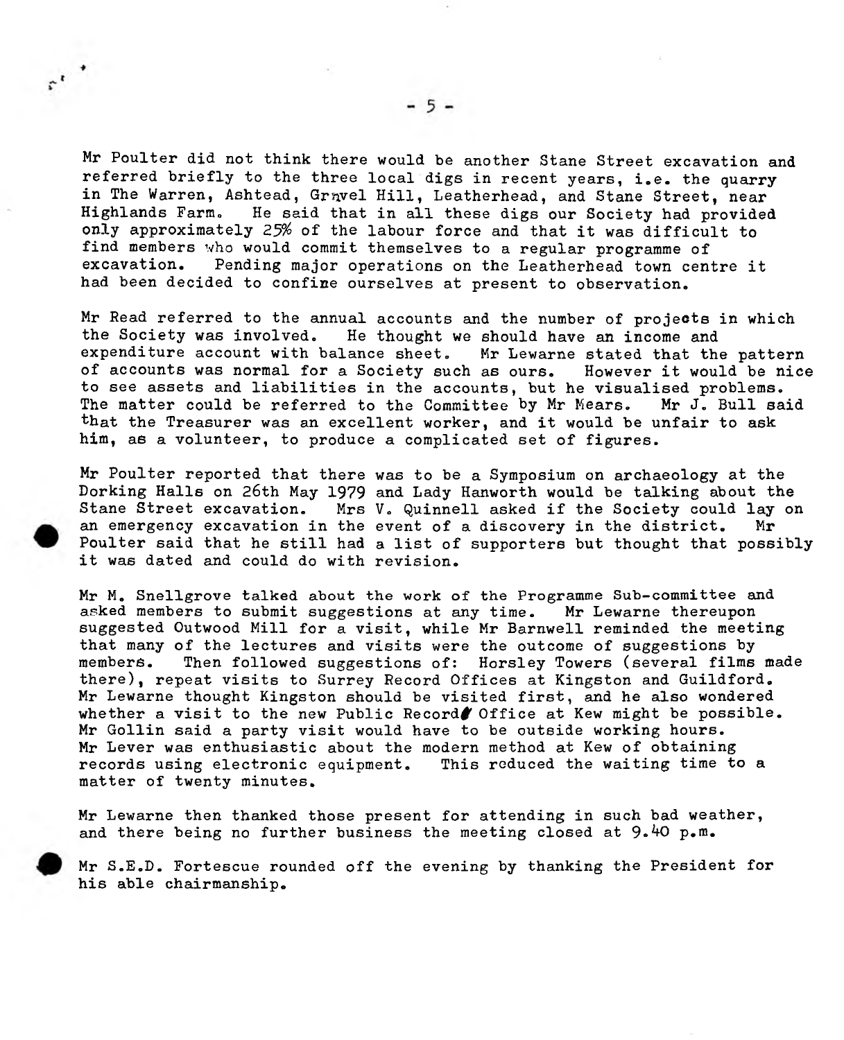Mr Poulter did not think there would be another Stane Street excavation and referred briefly to the three local digs in recent years, i.e. the quarry in The Warren, Ashtead, Gravel Hill, Leatherhead, and Stane Street, near Highlands Farm- He said that in all these digs our Society had provided only approximately 25% of the labour force and that it was difficult to find members **who** would commit themselves to a regular programme of Pending major operations on the Leatherhead town centre it had been decided to confine ourselves at present to observation.

**Mr Read referred to the annual accounts and the number of projects in which the Society was involved. He thought we should have an income and** Mr Lewarne stated that the pattern **of accounts was normal for a Society such as ours. However it would be nice to see assets and liabilities in the accounts, but he visualised problems.** The matter could be referred to the Committee by Mr Mears. **that the Treasurer was an excellent worker, and it would be unfair to ask him, as a volunteer, to produce a complicated set of figures.**

Mr Poulter reported that there was to be a Symposium on archaeology at the Dorking Halls on 26th May 1979 and Lady Hanworth would be talking about the Stane Street excavation. Mrs V. Quinnell asked if the Society could lay on an emergency excavation in the event of a discovery in the district. Mr Poulter said that he still had a list of supporters but thought that possibly it was dated and could do with revision.

**Mr M. Snellgrove talked about the work of the Programme Sub-committee and** asked members to submit suggestions at any time. **suggested Outwood Mill for a visit, while Mr Barnwell reminded the meeting that many of the lectures and visits were the outcome of suggestions by members. Then followed suggestions of: Horsley Towers (several films made there), repeat visits to Surrey Record Offices at Kingston and Guildford. Mr Lewarne thought Kingston should be visited first, and he also wondered whether a visit to the new Public Record# Office at Kew might be possible. Mr Gollin said a party visit would have to be outside working hours. Mr Lever was enthusiastic about the modern method at Kew of obtaining records using electronic equipment. This reduced the waiting time to a matter of twenty minutes.**

**Mr Lewarne then thanked those present for attending in such bad weather,** and there being no further business the meeting closed at 9.40 p.m.

**Mr S.E.D. Fortescue rounded off the evening by thanking the President for his able chairmanship.**

 $\ddot{z}$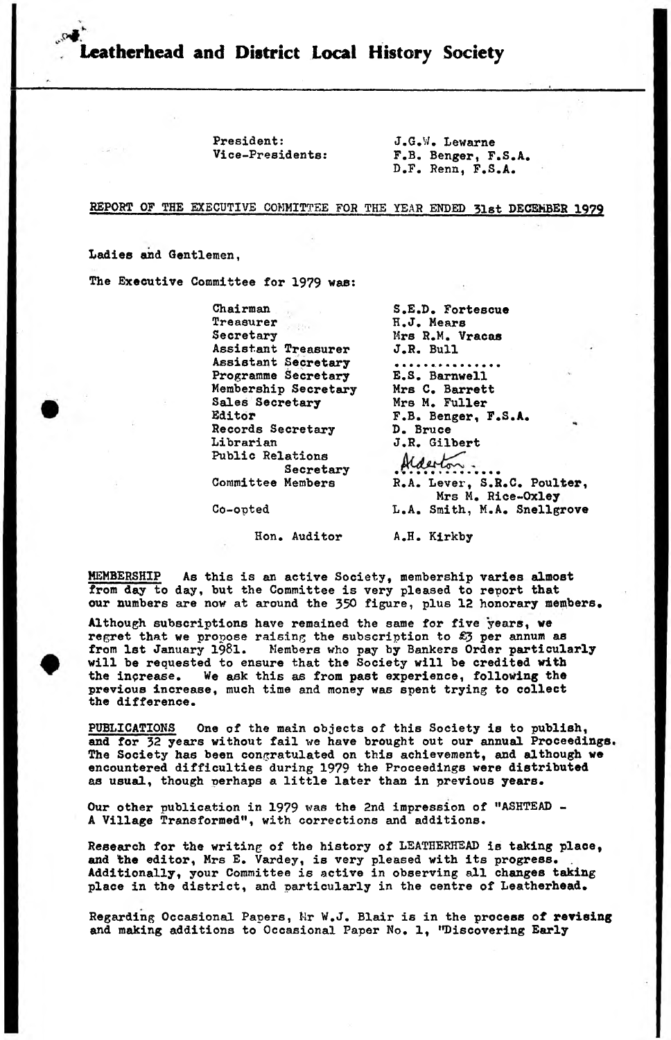eatherhead and District Local History Society

President: Vice-Presidents:

J.G.y. Lewarne F.B. Benger, F.S.A. D.F. Renn, F.S.A.

**REPORT OF THE EXECUTIVE COMMITTEE FOR THE YEAR ENDED 31st DECEMBER 1979**

Ladies and Gentlemen,

The Executive Committee for 1979 was:

Chairman Treasurer Secretary Assistant Treasurer Assistant Secretary Programme Secretary Membership Secretary Sales Secretary Editor Records Secretary Librarian Public Relations Secretary Committee Members

Co-opted

Hon. Auditor

**S.E.D. Fortescue H.J. Mears Mrs R.M. Vracas J.R. Bull** . . . . . . . . . . **E.S. Barnwell Mrs C. Barrett Mr8 M. Fuller F.B. Benger, F.S.A. D. Bruce J.R. Gilbert R.A.** Lever, **S.R.C. Poulter, Mrs M. Rice-Oxley** L.A. **Smith,** M.A. **Snellgrove**

A.H. **Kirkby**

MEMBERSHIP As this is an active Society, membership varies almost from day to day, but the Committee is very pleased to report that our numbers are now at around the 350 figure, plus 12 honorary members.

Although subscriptions have remained the same for five years, we regret that we propose raising the subscription to £3 per annum as from 1st January 1981. Members who pay by Bankers Order particularly will be requested to ensure that the Society will be credited with the increase. We ask this as from past experience, following the previous increase, much time and money was spent trying to collect the difference.

PUBLICATIONS One of the main objects of this Society is to publish, and for 32 years without fail we have brought out our annual Proceedings. The Society has been congratulated on this achievement, and although we encountered difficulties during 1979 the Proceedings were distributed as usual, though perhaps a little later than in previous years.

Our other publication in 1979 was the 2nd impression of "ASHTEAD -A Village Transformed", with corrections and additions.

Research for the writing of the history of LEATHERHEAD is taking place, and the editor, Mrs E. Vardey, is very pleased with its progress. Additionally, your Committee is active in observing all changes taking place in the district, and particularly in the centre of Leatherhead.

Regarding Occasional Papers, Mr W.J. Blair is in the process of revising and making additions to Occasional Paper No. 1, "Discovering Early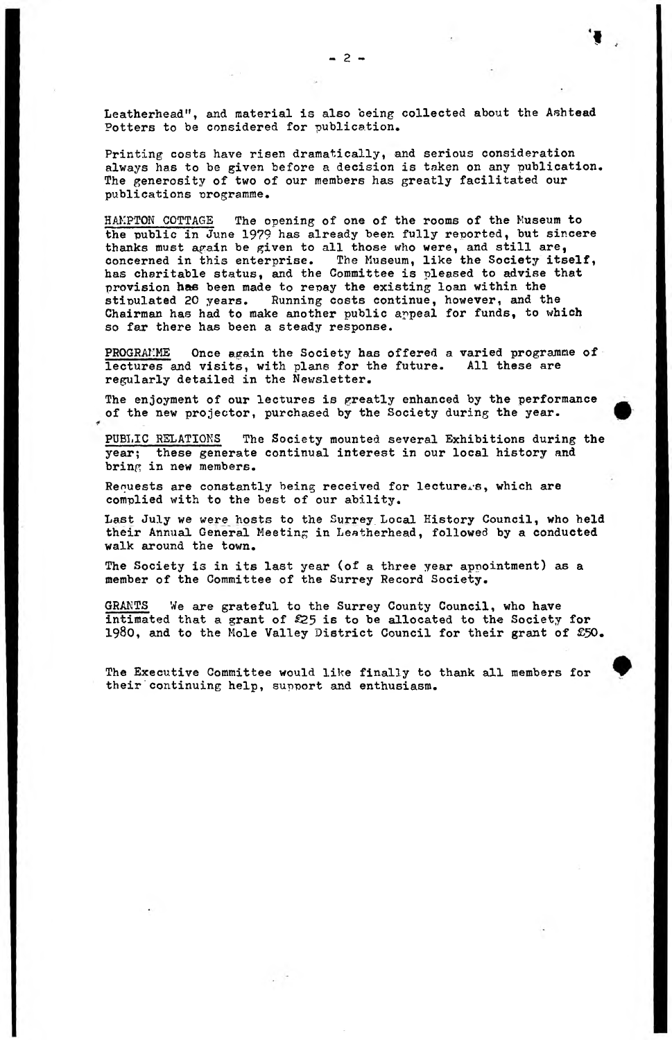**»**

Leatherhead", and material is also being collected about the Ashtead Potters to be considered for publication.

Printing costs have risen dramatically, and serious consideration always has to be given before a decision is taken on any publication. The generosity of two of our members has greatly facilitated our publications programme.

HAMPTON COTTAGE The opening of one of the rooms of the Museum to the public in June 1979 has already been fully reported, but sincere thanks must again be given to all those who were, and still are, concerned in this enterprise. The Museum, like the Society itself, has charitable status, and the Committee is pleased to advise that provision **has** been made to repay the existing loan within the Running costs continue, however, and the Chairman has had to make another public appeal for funds, to which so far there has been a steady response.

PROGRAMME Once again the Society has offered a varied programme of lectures and visits, with plans for the future. All these are regularly detailed in the Newsletter.

The enjoyment of our lectures is greatly enhanced by the performance of the new projector, purchased by the Society during the year.

PUBLIC RELATIONS The Society mounted several Exhibitions during the year; these generate continual interest in our local history and bring in new members.

Requests are constantly being received for lecturers, which are complied with to the best of our ability.

Last July we were hosts to the Surrey\_ Local History Council, who held their Annual General Meeting in Leatherhead, followed by a conducted walk around the town.

The Society is in its last year (of a three year appointment) as a member of the Committee of the Surrey Record Society.

GRANTS We are grateful to the Surrey County Council, who have intimated that a grant of £25 is to be allocated to the Society for 1980, and to the Mole Valley District Council for their grant of £50.

The Executive Committee would like finally to thank all members for their continuing help, support and enthusiasm.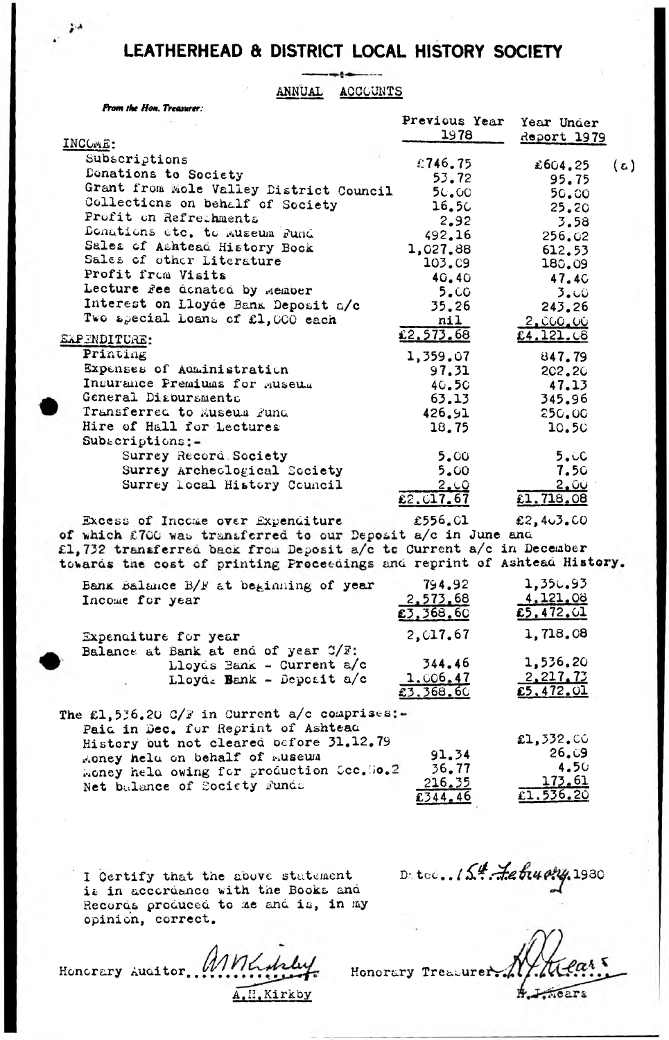# LEATHERHEAD & DISTRICT LOCAL HISTORY SOCIETY

#### ANNUAL ACCCUNTS

|  | <b>Prom the Hon. Treasurer:</b> |
|--|---------------------------------|
|--|---------------------------------|

|                                         | Previous rear    | Year Under                                |     |
|-----------------------------------------|------------------|-------------------------------------------|-----|
| INCOME:                                 | 1978             | Report 1979                               |     |
| Subscriptions                           | €746.75          | £604.25                                   | (ಎ) |
| Donations to Society                    | 53.72            | 95.75                                     |     |
| Grant from Mole Valley District Council | 50.00            | 50.00                                     |     |
| Collections on behalf of Society        | 16.5C            | 25.20                                     |     |
| Profit on Refrethments                  | 2, 92            | 3.58                                      |     |
| Donations etc. to Museum Fund           | 492.16           | 256.02                                    |     |
| Sales of Ashtead History Book           | 1,027.88         | 612.53                                    |     |
| Sales of other Literature               | 103.09           | 180.09                                    |     |
| Profit from Visits                      | 40.40            | 47.4C                                     |     |
| Lecture Fee donated by Member           | 5.00             | 3.00                                      |     |
| Interest on Lloyde Bank Deposit a/c     | 35.26            | 243.26                                    |     |
| Two apecial Loans of £1,000 each        | nil              | <u>2.CCO.CC</u>                           |     |
|                                         | £2.573.68        | £4.121.08                                 |     |
| <u> SXPENDITURE:</u>                    |                  |                                           |     |
| Printing                                | 1,359.07         | 847.79                                    |     |
| Expenses of Administration              | 97.31            | 202.20                                    |     |
| Insurance Premiums for Museum           | $4C_{\bullet}5C$ | 47.13                                     |     |
| General Disbursments                    | 63.13            | 345.96                                    |     |
| Transferred to Museum Fund              | 426.91           | 250.00                                    |     |
| Hire of Hall for Lectures               | 18.75            | 10.50                                     |     |
| $Sub_{\text{scritations}}$ :-           |                  |                                           |     |
| Surrey Record Society                   | 5.00             | 5.00                                      |     |
| Surrey Archeological Society            | 5.00             | 7.50                                      |     |
| Surrey local History Council            | 2.10             | <u>2.00</u>                               |     |
|                                         | 22.017.67        | £1.718.08                                 |     |
|                                         | **** **          | $\rightarrow$ $\rightarrow$ $\rightarrow$ |     |

Excess of Income over Expenditure £556.01 £2,4 $-3.00$ of which £700 was transferred to our Deposit a/c in June and £1,732 transferred back from Deposit a/c to Current a/c in December<br>towards the cost of printing Proceedings and reprint of Ashtead History.

| Bank Balance B/F at beginning of year                                                                                                                                                                                                         | 794.92                          | 1,350.93                             |
|-----------------------------------------------------------------------------------------------------------------------------------------------------------------------------------------------------------------------------------------------|---------------------------------|--------------------------------------|
| Income for year                                                                                                                                                                                                                               | 2,573.68<br>£3,368.60           | 4.121.08<br>£5,472.01                |
| Expenditure for year                                                                                                                                                                                                                          | 2,017.67                        | 1,718.08                             |
| Balance at Bank at end of year C/F:<br>Lloyds Bank - Current a/c<br>Lloyds Bank - Deposit a/c                                                                                                                                                 | 344.46<br>1.006.47<br>£3.368.60 | 1,536.20<br>2,217.73<br>£5.472.01    |
| The £1,536.20 C/F in Current a/c comprises:-<br>Paid in Dec. for Regrint of Ashtead<br>History but not cleared before 31.12.79<br>Money held on behalf of museum<br>Honey held owing for production Coc. Ho.2<br>Net balance of Society Funds | 91.34<br>36.77<br>216.35        | £1,332.00<br>9ن 26<br>4.50<br>173.61 |

I Certify that the above statement is in accordance with the Books and Records produced to me and is, in my opinion, correct.

amholy. Honorary Auditor. A.H. Kirkby

D. tec. 154. Lebushy, 1930

 $£344,46$ 

Honorary Treasurer. ⊭. nears

 $£1.536.20$